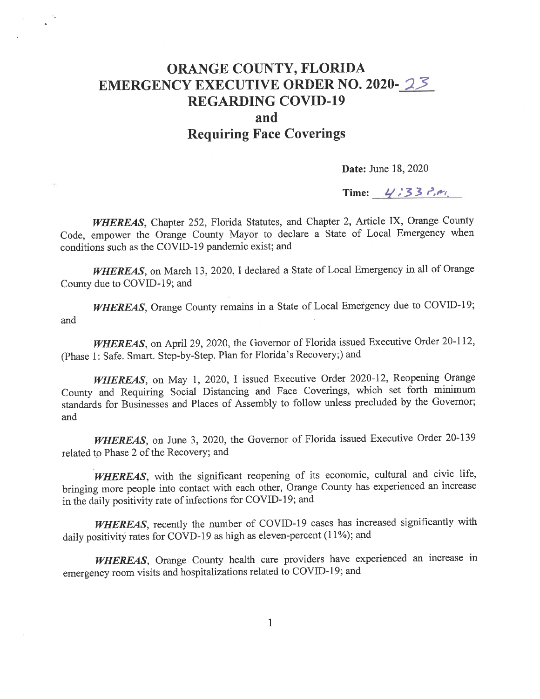## ORANGE COUNTY, FLORIDA EMERGENCY EXECUTIVE ORDER NO. 2020-23 REGARDING COVID-19 and Requiring Face Coverings

Date: June 18, 2020

Time:  $4/33$   $\frac{1}{2}$ ,  $\frac{1}{2}$ 

WHEREAS, Chapter 252, Florida Statutes, and Chapter 2, Article IX, Orange County Code, empower the Orange County Mayor to declare a State of Local Emergency when conditions such as the COVID-19 pandemic exist; and

WHEREAS, on March 13, 2020, I declared a State of Local Emergency in all of Orange County due to COVID-19; and

WHEREAS, Orange County remains in a State of Local Emergency due to COVID-19; and

WHEREAS, on April 29, 2020, the Governor of Florida issued Executive Order 20-112, (Phase 1: Safe. Smart. Step-by-Step. Plan for Florida's Recovery;) and

WHEREAS, on May 1, 2020, I issued Executive Order 2020-12, Reopening Orange County and Requiring Social Distancing and Face Coverings, which set forth minimum standards for Businesses and Places of Assembly to follow unless precluded by the Governor; and

WHEREAS, on June 3, 2020, the Governor of Florida issued Executive Order 20-139 related to Phase 2 of the Recovery; and

WHEREAS, with the significant reopening of its economic, cultural and civic life, bringing more people into contact with each other, Orange County has experienced an increase in the daily positivity rate of infections for COVID-19; and

WHEREAS, recently the number of COVID-19 cases has increased significantly with daily positivity rates for COVD-19 as high as eleven-percent (11%); and

WHEREAS, Orange County health care providers have experienced an increase in emergency room visits and hospitalizations related to COVID-19; and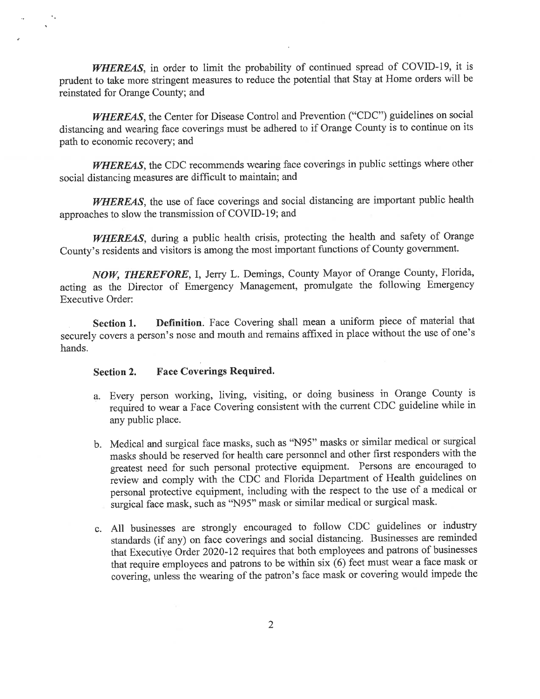WHEREAS, in order to limit the probability of continued spread of COVID-19, it is prudent to take more stringent measures to reduce the potential that Stay at Home orders will be reinstated for Orange County; and

WHEREAS, the Center for Disease Control and Prevention ("CDC") guidelines on social distancing and wearing face coverings must be adhered to if Orange County is to continue on its path to economic recovery; and

WHEREAS, the CDC recommends wearing face coverings in public settings where other social distancing measures are difficult to maintain; and

WHEREAS, the use of face coverings and social distancing are important public health approaches to slow the transmission of COVID-19; and

WHEREAS, during a public health crisis, protecting the health and safety of Orange County's residents and visitors is among the most important functions of County government.

NOW, THEREFORE, 1, Jerry L. Demings, County Mayor of Orange County, Florida, acting as the Director of Emergency Management, promulgate the following Emergency Executive Order:

Section 1. Definition. Face Covering shall mean a uniform piece of material that securely covers a person's nose and mouth and remains affixed in place without the use of one's hands.

## Section 2. Face Coverings Required.

- a. Every person working, living, visiting, or doing business in Orange County is required to wear a Face Covering consistent with the current CDC guideline while in any public place.
- b. Medical and surgical face masks, such as "N95" masks or similar medical or surgical masks should be reserved for health care personnel and other first responders with the greatest need for such personal protective equipment. Persons are encouraged to review and comply with the CDC and Florida Department of Health guidelines on personal protective equipment, including with the respect to the use of a medical or surgical face mask, such as "N95" mask or similar medical or surgical mask.
- c. All businesses are strongly encouraged to follow CDC guidelines or industry standards (if any) on face coverings and social distancing. Businesses are remmded that Executive Order 2020-12 requires that both employees and patrons of businesses that require employees and patrons to be within six (6) feet must wear a face mask or covering, unless the wearing of the patron's face mask or covering would impede the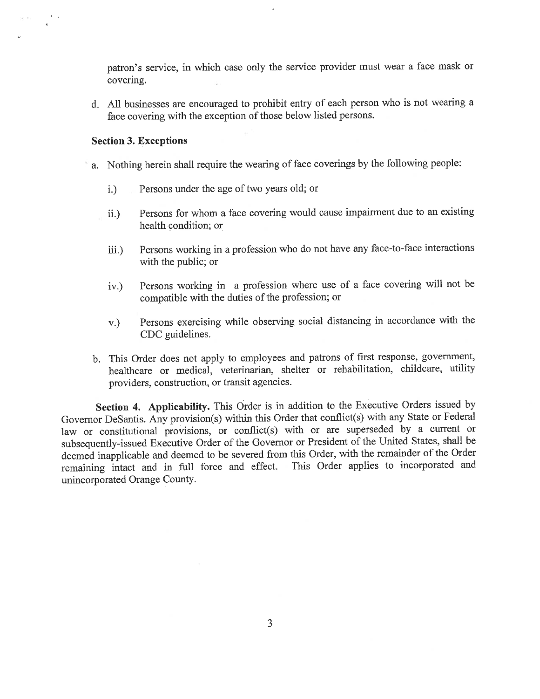patron's service, in which case only the service provider must wear a face mask or covering.

d. All businesses are encouraged to prohibit entry of each person who is not wearing a face covering with the exception of those below listed persons.

## Section 3. Exceptions

- a. Nothing herein shall require the wearing of face coverings by the following people:
	- i.) Persons under the age of two years old; or
	- ii.) Persons for whom a face covering would cause impairment due to an existing health condition; or
	- iii.) Persons working in a profession who do not have any face-to-face interactions with the public; or
	- iv.) Persons working in a profession where use of a face covering will not be compatible with the duties of the profession; or
	- v.) Persons exercising while observing social distancing in accordance with the CDC guidelines.
- b. This Order does not apply to employees and patrons of first response, government, healthcare or medical, veterinarian, shelter or rehabilitation, childcare, utility providers, construction, or transit agencies.

Section 4. Applicability. This Order is in addition to the Executive Orders issued by Governor DeSantis. Any provision(s) within this Order that conflict(s) with any State or Federal law or constitutional provisions, or conflict(s) with or are superseded by a current or subsequently-issued Executive Order of the Governor or President of the United States, shall be deemed inapplicable and deemed to be severed from this Order, with the remainder of the Order remaining intact and in full force and effect. This Order applies to incorporated and unincorporated Orange County.